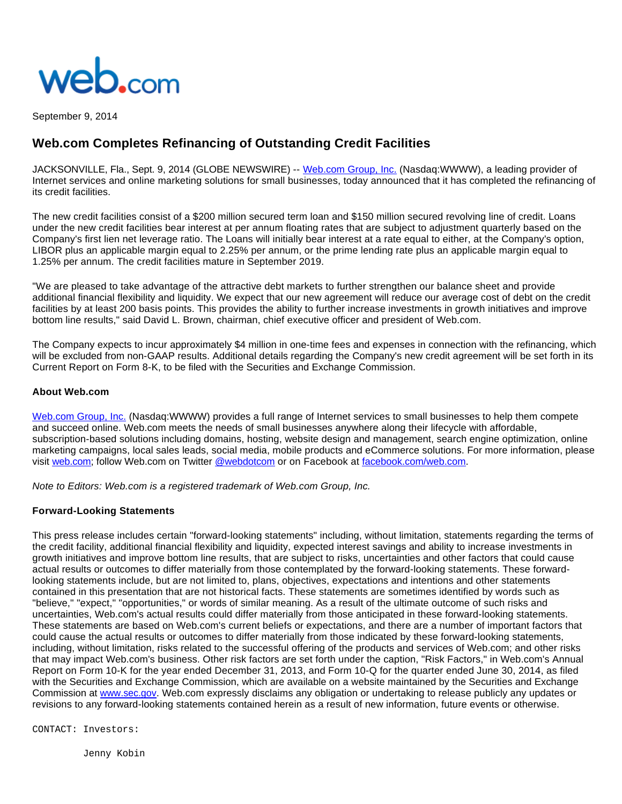

September 9, 2014

## **Web.com Completes Refinancing of Outstanding Credit Facilities**

JACKSONVILLE, Fla., Sept. 9, 2014 (GLOBE NEWSWIRE) -- [Web.com Group, Inc.](http://www.globenewswire.com/newsroom/ctr?d=10097920&l=1&a=Web.com%20Group%2C%20Inc.&u=http%3A%2F%2Fwww.web.com%2F) (Nasdaq:WWWW), a leading provider of Internet services and online marketing solutions for small businesses, today announced that it has completed the refinancing of its credit facilities.

The new credit facilities consist of a \$200 million secured term loan and \$150 million secured revolving line of credit. Loans under the new credit facilities bear interest at per annum floating rates that are subject to adjustment quarterly based on the Company's first lien net leverage ratio. The Loans will initially bear interest at a rate equal to either, at the Company's option, LIBOR plus an applicable margin equal to 2.25% per annum, or the prime lending rate plus an applicable margin equal to 1.25% per annum. The credit facilities mature in September 2019.

"We are pleased to take advantage of the attractive debt markets to further strengthen our balance sheet and provide additional financial flexibility and liquidity. We expect that our new agreement will reduce our average cost of debt on the credit facilities by at least 200 basis points. This provides the ability to further increase investments in growth initiatives and improve bottom line results," said David L. Brown, chairman, chief executive officer and president of Web.com.

The Company expects to incur approximately \$4 million in one-time fees and expenses in connection with the refinancing, which will be excluded from non-GAAP results. Additional details regarding the Company's new credit agreement will be set forth in its Current Report on Form 8-K, to be filed with the Securities and Exchange Commission.

## **About Web.com**

[Web.com Group, Inc.](http://www.globenewswire.com/newsroom/ctr?d=10097920&l=6&a=Web.com%20Group%2C%20Inc.&u=http%3A%2F%2Fwww.web.com%2F) (Nasdaq:WWWW) provides a full range of Internet services to small businesses to help them compete and succeed online. Web.com meets the needs of small businesses anywhere along their lifecycle with affordable, subscription-based solutions including domains, hosting, website design and management, search engine optimization, online marketing campaigns, local sales leads, social media, mobile products and eCommerce solutions. For more information, please visit [web.com;](http://www.globenewswire.com/newsroom/ctr?d=10097920&l=6&a=web.com&u=http%3A%2F%2Fwww.web.com%2F) follow Web.com on Twitter [@webdotcom](http://www.globenewswire.com/newsroom/ctr?d=10097920&l=6&a=%40webdotcom&u=https%3A%2F%2Ftwitter.com%2Fwebdotcom) or on Facebook at [facebook.com/web.com.](http://www.globenewswire.com/newsroom/ctr?d=10097920&l=6&a=facebook.com%2Fweb.com&u=http%3A%2F%2Fwww.facebook.com%2Fweb.com)

Note to Editors: Web.com is a registered trademark of Web.com Group, Inc.

## **Forward-Looking Statements**

This press release includes certain "forward-looking statements" including, without limitation, statements regarding the terms of the credit facility, additional financial flexibility and liquidity, expected interest savings and ability to increase investments in growth initiatives and improve bottom line results, that are subject to risks, uncertainties and other factors that could cause actual results or outcomes to differ materially from those contemplated by the forward-looking statements. These forwardlooking statements include, but are not limited to, plans, objectives, expectations and intentions and other statements contained in this presentation that are not historical facts. These statements are sometimes identified by words such as "believe," "expect," "opportunities," or words of similar meaning. As a result of the ultimate outcome of such risks and uncertainties, Web.com's actual results could differ materially from those anticipated in these forward-looking statements. These statements are based on Web.com's current beliefs or expectations, and there are a number of important factors that could cause the actual results or outcomes to differ materially from those indicated by these forward-looking statements, including, without limitation, risks related to the successful offering of the products and services of Web.com; and other risks that may impact Web.com's business. Other risk factors are set forth under the caption, "Risk Factors," in Web.com's Annual Report on Form 10-K for the year ended December 31, 2013, and Form 10-Q for the quarter ended June 30, 2014, as filed with the Securities and Exchange Commission, which are available on a website maintained by the Securities and Exchange Commission at [www.sec.gov](http://www.globenewswire.com/newsroom/ctr?d=10097920&l=9&a=www.sec.gov&u=http%3A%2F%2Fwww.sec.gov). Web.com expressly disclaims any obligation or undertaking to release publicly any updates or revisions to any forward-looking statements contained herein as a result of new information, future events or otherwise.

CONTACT: Investors:

Jenny Kobin